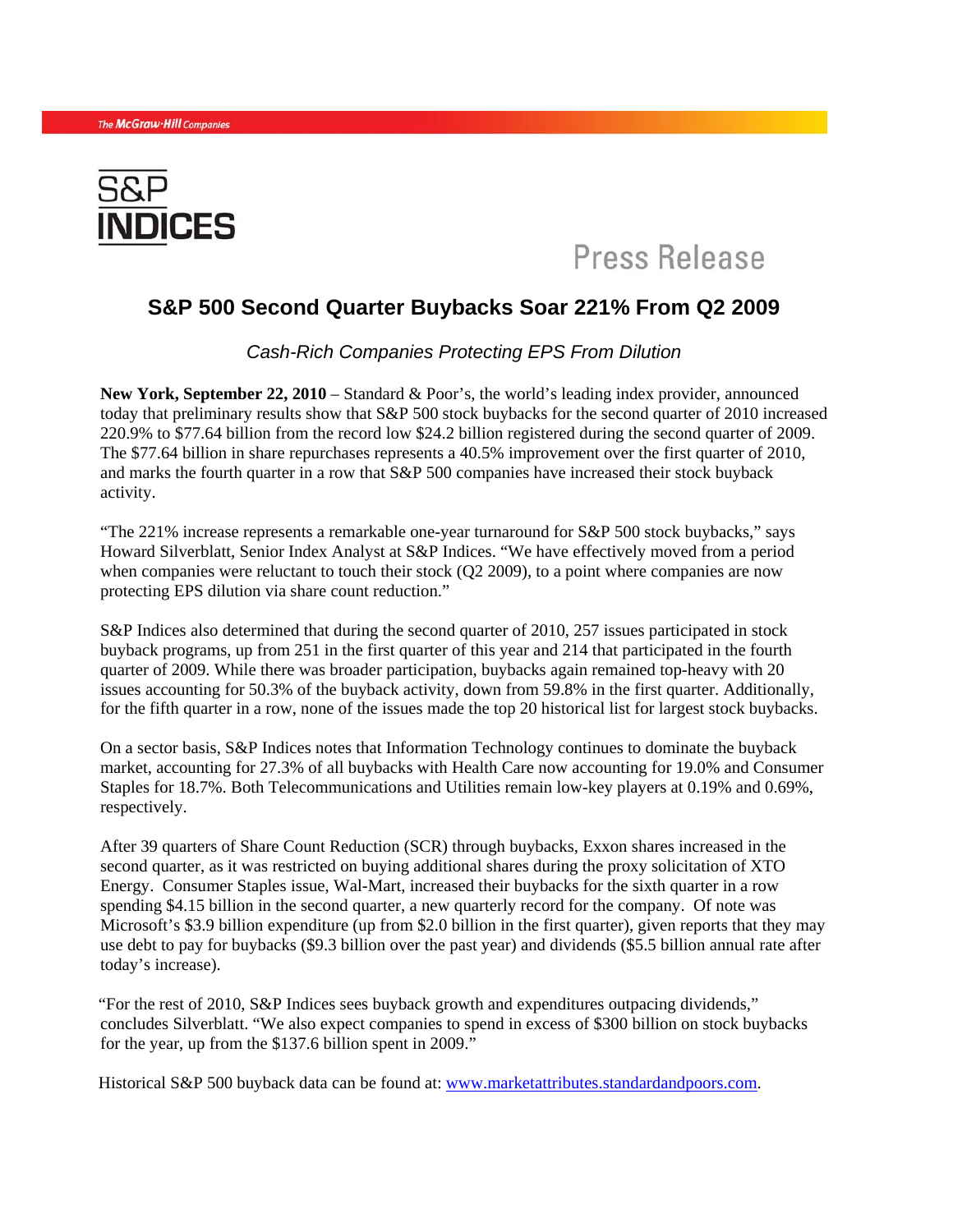

# Press Release

### **S&P 500 Second Quarter Buybacks Soar 221% From Q2 2009**

*Cash-Rich Companies Protecting EPS From Dilution* 

**New York, September 22, 2010** – Standard & Poor's, the world's leading index provider, announced today that preliminary results show that S&P 500 stock buybacks for the second quarter of 2010 increased 220.9% to \$77.64 billion from the record low \$24.2 billion registered during the second quarter of 2009. The \$77.64 billion in share repurchases represents a 40.5% improvement over the first quarter of 2010, and marks the fourth quarter in a row that S&P 500 companies have increased their stock buyback activity.

"The 221% increase represents a remarkable one-year turnaround for S&P 500 stock buybacks," says Howard Silverblatt, Senior Index Analyst at S&P Indices. "We have effectively moved from a period when companies were reluctant to touch their stock (Q2 2009), to a point where companies are now protecting EPS dilution via share count reduction."

S&P Indices also determined that during the second quarter of 2010, 257 issues participated in stock buyback programs, up from 251 in the first quarter of this year and 214 that participated in the fourth quarter of 2009. While there was broader participation, buybacks again remained top-heavy with 20 issues accounting for 50.3% of the buyback activity, down from 59.8% in the first quarter. Additionally, for the fifth quarter in a row, none of the issues made the top 20 historical list for largest stock buybacks.

On a sector basis, S&P Indices notes that Information Technology continues to dominate the buyback market, accounting for 27.3% of all buybacks with Health Care now accounting for 19.0% and Consumer Staples for 18.7%. Both Telecommunications and Utilities remain low-key players at 0.19% and 0.69%, respectively.

After 39 quarters of Share Count Reduction (SCR) through buybacks, Exxon shares increased in the second quarter, as it was restricted on buying additional shares during the proxy solicitation of XTO Energy. Consumer Staples issue, Wal-Mart, increased their buybacks for the sixth quarter in a row spending \$4.15 billion in the second quarter, a new quarterly record for the company. Of note was Microsoft's \$3.9 billion expenditure (up from \$2.0 billion in the first quarter), given reports that they may use debt to pay for buybacks (\$9.3 billion over the past year) and dividends (\$5.5 billion annual rate after today's increase).

"For the rest of 2010, S&P Indices sees buyback growth and expenditures outpacing dividends," concludes Silverblatt. "We also expect companies to spend in excess of \$300 billion on stock buybacks for the year, up from the \$137.6 billion spent in 2009."

Historical S&P 500 buyback data can be found at: [www.marketattributes.standardandpoors.com.](http://www.marketattributes.standardandpoors.com/)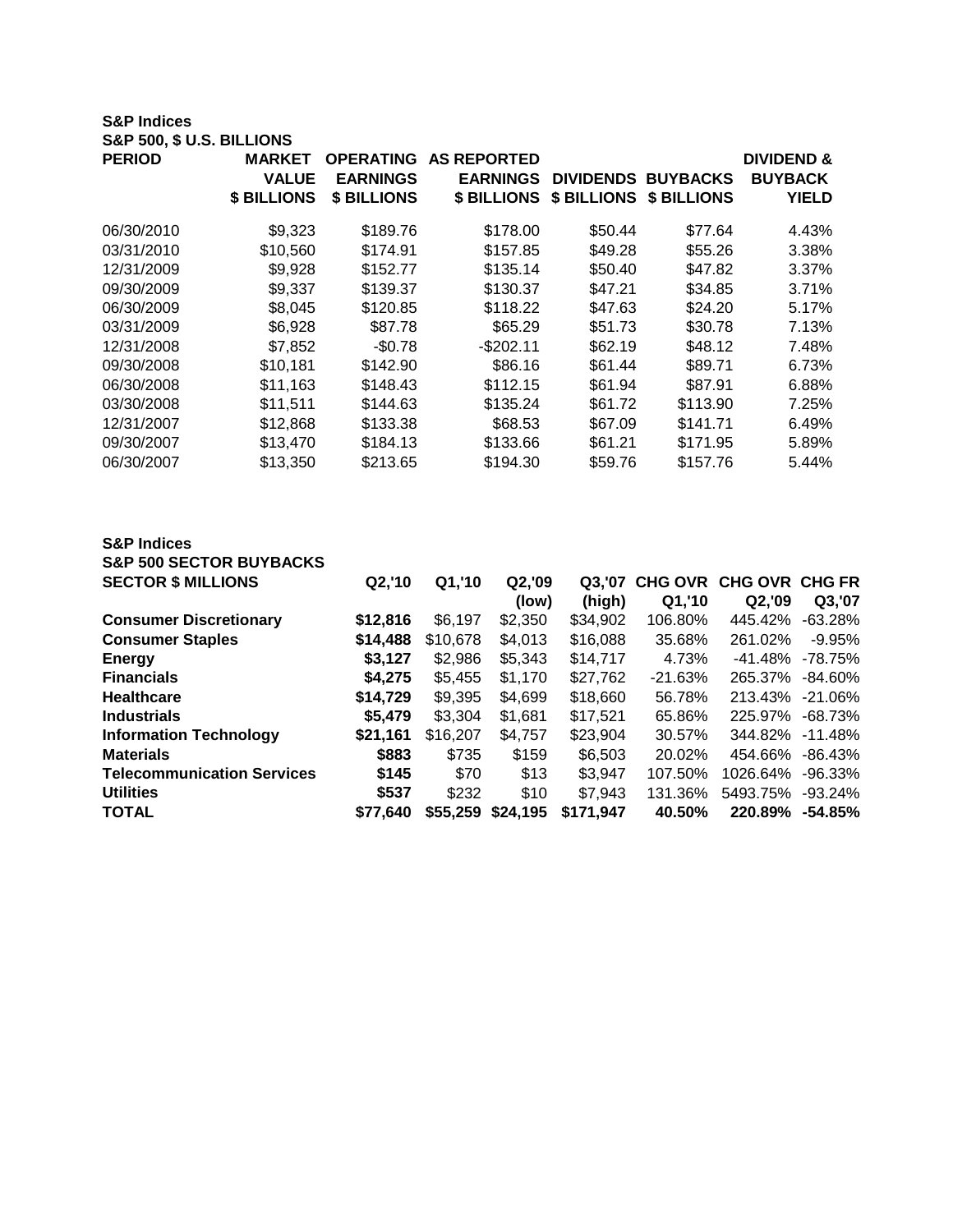#### **S&P Indices S&P 500, \$ U.S. BILLIONS**

| <b>PERIOD</b> | <b>MARKET</b><br><b>VALUE</b><br>\$ BILLIONS | <b>OPERATING</b><br><b>EARNINGS</b><br>\$ BILLIONS | <b>AS REPORTED</b><br><b>EARNINGS</b> | \$ BILLIONS \$ BILLIONS \$ BILLIONS | <b>DIVIDENDS BUYBACKS</b> | <b>DIVIDEND &amp;</b><br><b>BUYBACK</b><br><b>YIELD</b> |
|---------------|----------------------------------------------|----------------------------------------------------|---------------------------------------|-------------------------------------|---------------------------|---------------------------------------------------------|
| 06/30/2010    | \$9,323                                      | \$189.76                                           | \$178.00                              | \$50.44                             | \$77.64                   | 4.43%                                                   |
| 03/31/2010    | \$10,560                                     | \$174.91                                           | \$157.85                              | \$49.28                             | \$55.26                   | 3.38%                                                   |
| 12/31/2009    | \$9,928                                      | \$152.77                                           | \$135.14                              | \$50.40                             | \$47.82                   | 3.37%                                                   |
| 09/30/2009    | \$9,337                                      | \$139.37                                           | \$130.37                              | \$47.21                             | \$34.85                   | 3.71%                                                   |
| 06/30/2009    | \$8,045                                      | \$120.85                                           | \$118.22                              | \$47.63                             | \$24.20                   | 5.17%                                                   |
| 03/31/2009    | \$6,928                                      | \$87.78                                            | \$65.29                               | \$51.73                             | \$30.78                   | 7.13%                                                   |
| 12/31/2008    | \$7,852                                      | $-$0.78$                                           | $-$202.11$                            | \$62.19                             | \$48.12                   | 7.48%                                                   |
| 09/30/2008    | \$10,181                                     | \$142.90                                           | \$86.16                               | \$61.44                             | \$89.71                   | 6.73%                                                   |
| 06/30/2008    | \$11,163                                     | \$148.43                                           | \$112.15                              | \$61.94                             | \$87.91                   | 6.88%                                                   |
| 03/30/2008    | \$11,511                                     | \$144.63                                           | \$135.24                              | \$61.72                             | \$113.90                  | 7.25%                                                   |
| 12/31/2007    | \$12,868                                     | \$133.38                                           | \$68.53                               | \$67.09                             | \$141.71                  | 6.49%                                                   |
| 09/30/2007    | \$13,470                                     | \$184.13                                           | \$133.66                              | \$61.21                             | \$171.95                  | 5.89%                                                   |
| 06/30/2007    | \$13,350                                     | \$213.65                                           | \$194.30                              | \$59.76                             | \$157.76                  | 5.44%                                                   |

| <b>S&amp;P Indices</b>             |          |          |          |           |           |                        |            |
|------------------------------------|----------|----------|----------|-----------|-----------|------------------------|------------|
| <b>S&amp;P 500 SECTOR BUYBACKS</b> |          |          |          |           |           |                        |            |
| <b>SECTOR \$ MILLIONS</b>          | Q2,'10   | Q1,'10   | Q2,'09   | Q3.'07    |           | CHG OVR CHG OVR CHG FR |            |
|                                    |          |          | (low)    | (high)    | Q1,'10    | Q2,'09                 | Q3,'07     |
| <b>Consumer Discretionary</b>      | \$12,816 | \$6.197  | \$2,350  | \$34.902  | 106.80%   | 445.42%                | $-63.28%$  |
| <b>Consumer Staples</b>            | \$14,488 | \$10,678 | \$4,013  | \$16,088  | 35.68%    | 261.02%                | $-9.95%$   |
| <b>Energy</b>                      | \$3,127  | \$2,986  | \$5,343  | \$14,717  | 4.73%     | $-41.48\%$             | -78.75%    |
| <b>Financials</b>                  | \$4,275  | \$5,455  | \$1,170  | \$27,762  | $-21.63%$ | 265.37%                | $-84.60%$  |
| <b>Healthcare</b>                  | \$14,729 | \$9,395  | \$4,699  | \$18,660  | 56.78%    | 213.43%                | $-21.06%$  |
| <b>Industrials</b>                 | \$5,479  | \$3.304  | \$1,681  | \$17,521  | 65.86%    | 225.97%                | $-68.73%$  |
| <b>Information Technology</b>      | \$21,161 | \$16,207 | \$4,757  | \$23,904  | 30.57%    | 344.82%                | $-11.48%$  |
| <b>Materials</b>                   | \$883    | \$735    | \$159    | \$6,503   | 20.02%    | 454.66%                | $-86.43%$  |
| <b>Telecommunication Services</b>  | \$145    | \$70     | \$13     | \$3,947   | 107.50%   | 1026.64%               | $-96.33\%$ |
| <b>Utilities</b>                   | \$537    | \$232    | \$10     | \$7,943   | 131.36%   | 5493.75%               | $-93.24%$  |
| <b>TOTAL</b>                       | \$77.640 | \$55,259 | \$24,195 | \$171.947 | 40.50%    | 220.89%                | $-54.85%$  |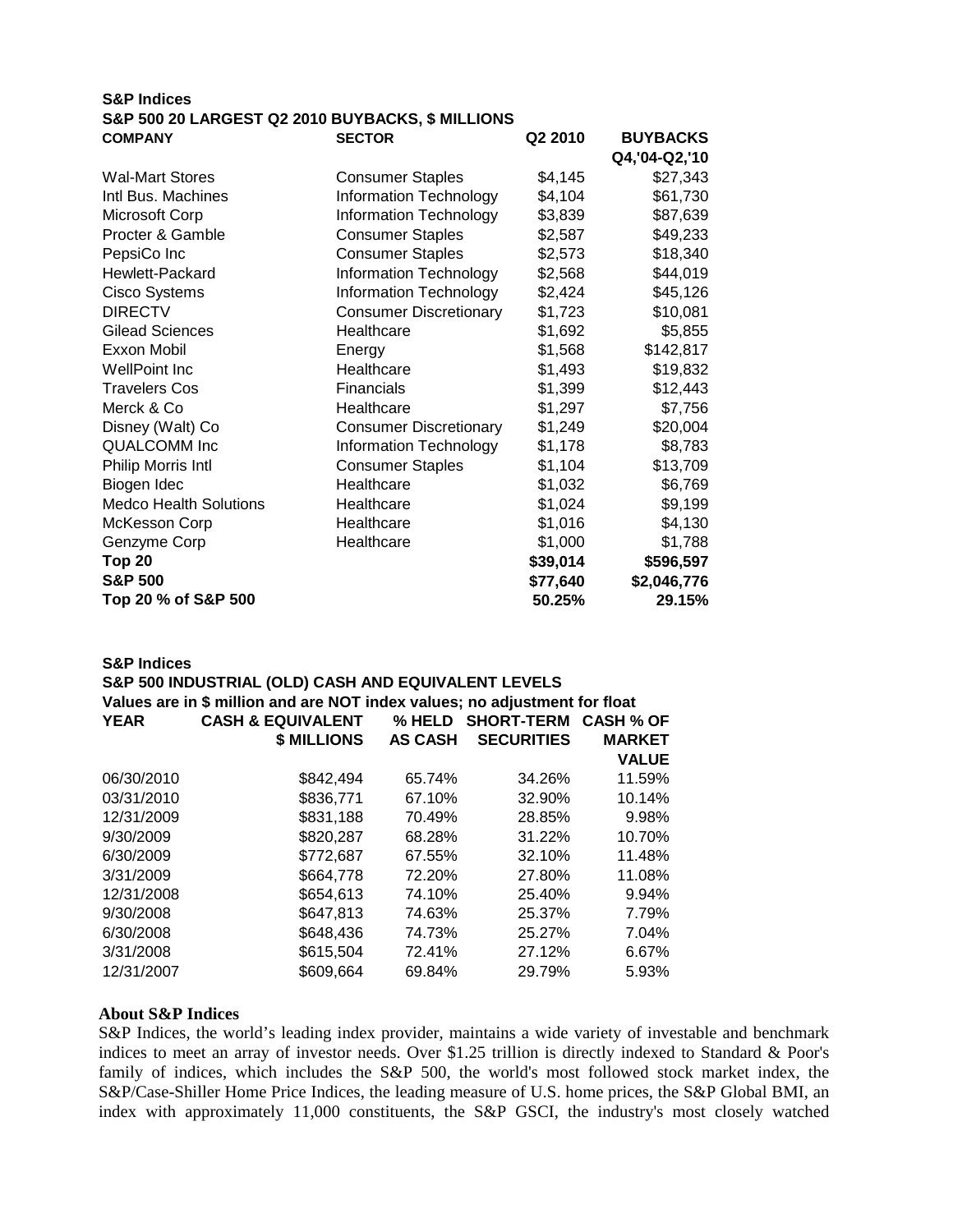## **S&P Indices S&P 500 20 LARGEST Q2 2010 BUYBACKS, \$ MILLIONS COMPANY SECTOR Q2 2010 BUYBACKS** Wal-Mart Stores **Consumer Staples** \$4,145 \$27,343  $\frac{1}{10}$  Internation Technology  $\frac{1}{4}$   $\frac{1}{4}$   $\frac{1}{4}$   $\frac{1}{4}$   $\frac{1}{4}$   $\frac{1}{4}$   $\frac{1}{4}$   $\frac{1}{4}$   $\frac{1}{4}$   $\frac{1}{4}$   $\frac{1}{4}$   $\frac{1}{4}$   $\frac{1}{4}$   $\frac{1}{4}$   $\frac{1}{4}$   $\frac{1}{4}$   $\frac{1}{4}$   $\frac{1}{4}$   $\frac{1}{4$

| inti Bus. Machines            | Information Technology        | \$4,104  | \$61,730    |
|-------------------------------|-------------------------------|----------|-------------|
| Microsoft Corp                | Information Technology        | \$3,839  | \$87,639    |
| Procter & Gamble              | <b>Consumer Staples</b>       | \$2,587  | \$49,233    |
| PepsiCo Inc                   | <b>Consumer Staples</b>       | \$2,573  | \$18,340    |
| Hewlett-Packard               | Information Technology        | \$2,568  | \$44,019    |
| <b>Cisco Systems</b>          | Information Technology        | \$2,424  | \$45,126    |
| <b>DIRECTV</b>                | <b>Consumer Discretionary</b> | \$1,723  | \$10,081    |
| <b>Gilead Sciences</b>        | Healthcare                    | \$1,692  | \$5,855     |
| Exxon Mobil                   | Energy                        | \$1,568  | \$142,817   |
| WellPoint Inc                 | Healthcare                    | \$1,493  | \$19,832    |
| <b>Travelers Cos</b>          | <b>Financials</b>             | \$1,399  | \$12,443    |
| Merck & Co                    | Healthcare                    | \$1,297  | \$7,756     |
| Disney (Walt) Co              | <b>Consumer Discretionary</b> | \$1,249  | \$20,004    |
| <b>QUALCOMM Inc</b>           | Information Technology        | \$1,178  | \$8,783     |
| <b>Philip Morris Intl</b>     | <b>Consumer Staples</b>       | \$1,104  | \$13,709    |
| Biogen Idec                   | Healthcare                    | \$1,032  | \$6,769     |
| <b>Medco Health Solutions</b> | Healthcare                    | \$1,024  | \$9,199     |
| McKesson Corp                 | Healthcare                    | \$1,016  | \$4,130     |
| Genzyme Corp                  | Healthcare                    | \$1,000  | \$1,788     |
| <b>Top 20</b>                 |                               | \$39,014 | \$596,597   |
| <b>S&amp;P 500</b>            |                               | \$77,640 | \$2,046,776 |
| Top 20 % of S&P 500           |                               | 50.25%   | 29.15%      |
|                               |                               |          |             |

**Q4,'04-Q2,'10**

#### **S&P Indices**

#### **S&P 500 INDUSTRIAL (OLD) CASH AND EQUIVALENT LEVELS**

#### **Values are in \$ million and are NOT index values; no adjustment for float**

| <b>YEAR</b> | <b>CASH &amp; EQUIVALENT</b> | % HELD         | <b>SHORT-TERM</b> | <b>CASH % OF</b> |
|-------------|------------------------------|----------------|-------------------|------------------|
|             | \$ MILLIONS                  | <b>AS CASH</b> | <b>SECURITIES</b> | <b>MARKET</b>    |
|             |                              |                |                   | <b>VALUE</b>     |
| 06/30/2010  | \$842,494                    | 65.74%         | 34.26%            | 11.59%           |
| 03/31/2010  | \$836,771                    | 67.10%         | 32.90%            | 10.14%           |
| 12/31/2009  | \$831,188                    | 70.49%         | 28.85%            | 9.98%            |
| 9/30/2009   | \$820,287                    | 68.28%         | 31.22%            | 10.70%           |
| 6/30/2009   | \$772.687                    | 67.55%         | 32.10%            | 11.48%           |
| 3/31/2009   | \$664,778                    | 72.20%         | 27.80%            | 11.08%           |
| 12/31/2008  | \$654,613                    | 74.10%         | 25.40%            | 9.94%            |
| 9/30/2008   | \$647,813                    | 74.63%         | 25.37%            | 7.79%            |
| 6/30/2008   | \$648,436                    | 74.73%         | 25.27%            | 7.04%            |
| 3/31/2008   | \$615.504                    | 72.41%         | 27.12%            | 6.67%            |
| 12/31/2007  | \$609,664                    | 69.84%         | 29.79%            | 5.93%            |

#### **About S&P Indices**

S&P Indices, the world's leading index provider, maintains a wide variety of investable and benchmark indices to meet an array of investor needs. Over \$1.25 trillion is directly indexed to Standard & Poor's family of indices, which includes the S&P 500, the world's most followed stock market index, the S&P/Case-Shiller Home Price Indices, the leading measure of U.S. home prices, the S&P Global BMI, an index with approximately 11,000 constituents, the S&P GSCI, the industry's most closely watched